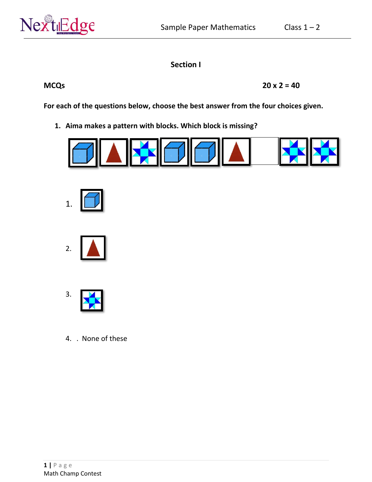

# **Section I**

**MCQs 20 x 2 = 40** 

**For each of the questions below, choose the best answer from the four choices given.**

**1. Aima makes a pattern with blocks. Which block is missing?**









4. . None of these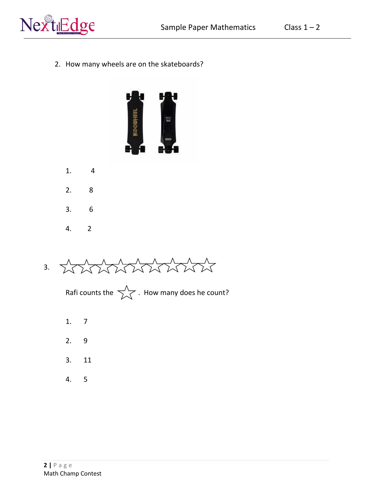

2. How many wheels are on the skateboards?



- 1. 4
- 2. 8
- 3. 6
- 4. 2



Rafi counts the  $\overrightarrow{\phantom{a}}$ . How many does he count?

- 1. 7
- 2. 9
- 3. 11
- 4. 5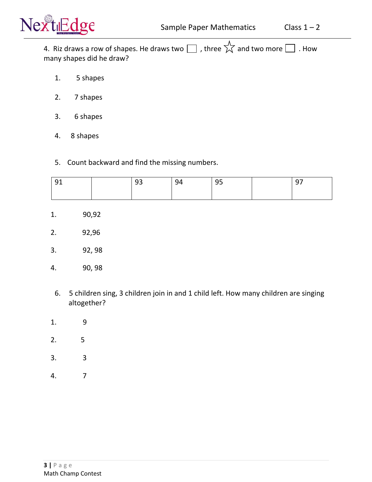

4. Riz draws a row of shapes. He draws two  $\Box$  , three  $\overleftrightarrow{\lambda}$  and two more  $\Box$  . How many shapes did he draw?

- 1. 5 shapes
- 2. 7 shapes
- 3. 6 shapes
- 4. 8 shapes
- 5. Count backward and find the missing numbers.

| ◡ | -- | 94 | $\sim$ $-$<br>-- | . . |
|---|----|----|------------------|-----|
|   |    |    |                  |     |

- 1. 90,92
- 2. 92,96
- 3. 92, 98
- 4. 90, 98
- 6. 5 children sing, 3 children join in and 1 child left. How many children are singing altogether?
- 1. 9
- 2. 5
- 3. 3
- 4. 7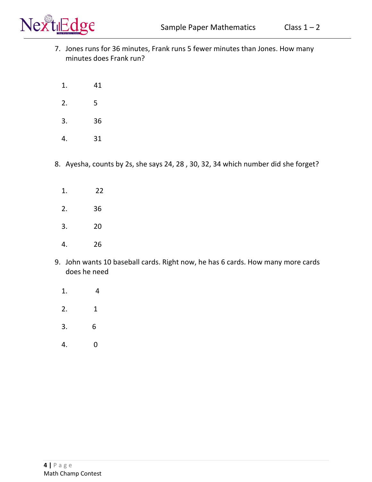

- 7. Jones runs for 36 minutes, Frank runs 5 fewer minutes than Jones. How many minutes does Frank run?
	- 1. 41
	- 2. 5
	- 3. 36
	- 4. 31
- 8. Ayesha, counts by 2s, she says 24, 28 , 30, 32, 34 which number did she forget?
	- 1. 22
	- 2. 36
	- 3. 20
	- 4. 26
- 9. John wants 10 baseball cards. Right now, he has 6 cards. How many more cards does he need
	- 1. 4
	- 2. 1
	- 3. 6
	- 4. 0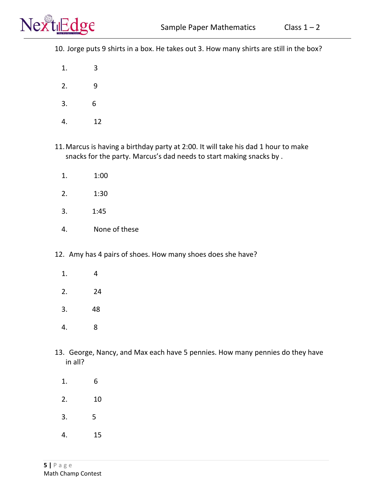10. Jorge puts 9 shirts in a box. He takes out 3. How many shirts are still in the box?

1. 3

- 2. 9
- 3. 6
- 4. 12
- 11.Marcus is having a birthday party at 2:00. It will take his dad 1 hour to make snacks for the party. Marcus's dad needs to start making snacks by .
	- 1. 1:00
	- 2. 1:30
	- 3. 1:45
	- 4. None of these
- 12. Amy has 4 pairs of shoes. How many shoes does she have?
	- 1. 4
	- 2. 24
	- 3. 48
	- 4. 8
- 13. George, Nancy, and Max each have 5 pennies. How many pennies do they have in all?
	- 1. 6
	- 2. 10
	- 3. 5
	- 4. 15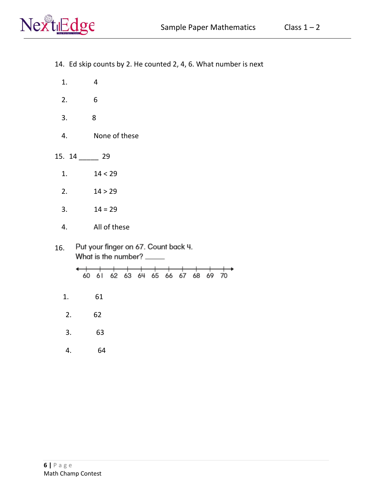

- 1. 4
- 2. 6
- 3. 8
- 4. None of these
- 15. 14 \_\_\_\_\_ 29
	- 1.  $14 < 29$
	- 2.  $14 > 29$
	- 3.  $14 = 29$
	- 4. All of these
- Put your finger on 67. Count back 4. 16. What is the number? \_\_\_\_\_

|  | 60 61 62 63 64 65 66 67 68 69 70 |  |  |  |  |  |
|--|----------------------------------|--|--|--|--|--|

- 1. 61
- 2. 62
- 3. 63
- 4. 64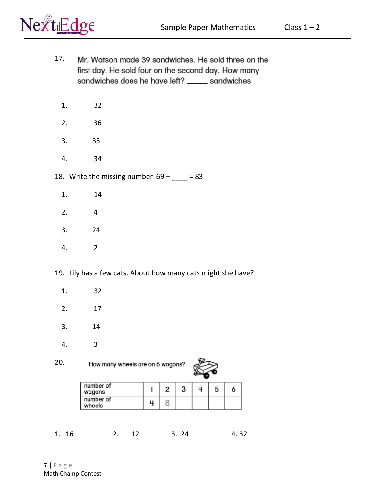

- 17. Mr. Watson made 39 sandwiches. He sold three on the first day. He sold four on the second day. How many sandwiches does he have left? \_\_\_\_\_ sandwiches
	- 1. 32
	- 2. 36
	- 3. 35
	- 4. 34
- 18. Write the missing number  $69 + \underline{\hspace{1cm}} = 83$ 
	- 1. 14
	- 2. 4
	- 3. 24
	- 4. 2
- 19. Lily has a few cats. About how many cats might she have?
	- 1. 32
	- 2. 17
	- 3. 14
	- 4. 3
- 20. How many wheels are on 6 wagons?



| number of<br>wagons | r | п |  |
|---------------------|---|---|--|
| number of<br>wheels |   |   |  |

1. 16 2. 12 3. 24 4. 32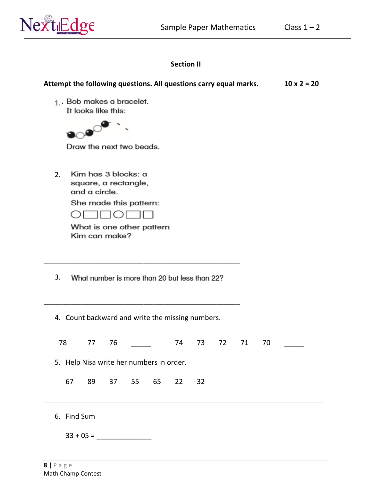

1. Bob makes a bracelet.

## **Section II**

Attempt the following questions. All questions carry equal marks. 10 x 2 = 20

|    | It looks like this: |               |                                             |          |                                                  |    |    |    |    |  |
|----|---------------------|---------------|---------------------------------------------|----------|--------------------------------------------------|----|----|----|----|--|
|    |                     |               |                                             |          |                                                  |    |    |    |    |  |
|    |                     |               |                                             |          |                                                  |    |    |    |    |  |
|    |                     |               | Draw the next two beads.                    |          |                                                  |    |    |    |    |  |
| 2. |                     | and a circle. | Kim has 3 blocks: a<br>square, a rectangle, |          |                                                  |    |    |    |    |  |
|    |                     |               | She made this pattern:                      |          |                                                  |    |    |    |    |  |
|    |                     |               | - 11 1 ( ) 1                                |          |                                                  |    |    |    |    |  |
|    |                     |               | What is one other pattern                   |          |                                                  |    |    |    |    |  |
|    |                     |               | Kim can make?                               |          |                                                  |    |    |    |    |  |
|    |                     |               |                                             |          |                                                  |    |    |    |    |  |
|    |                     |               |                                             |          |                                                  |    |    |    |    |  |
|    |                     |               |                                             |          |                                                  |    |    |    |    |  |
| 3. |                     |               |                                             |          | What number is more than 20 but less than 22?    |    |    |    |    |  |
|    |                     |               |                                             |          | 4. Count backward and write the missing numbers. |    |    |    |    |  |
|    | 78                  | 77            | 76                                          |          | 74                                               | 73 | 72 | 71 | 70 |  |
|    |                     |               | 5. Help Nisa write her numbers in order.    |          |                                                  |    |    |    |    |  |
|    |                     |               |                                             |          |                                                  |    |    |    |    |  |
|    | 67                  | 89            |                                             | 37 55 65 | 22                                               | 32 |    |    |    |  |
|    |                     |               |                                             |          |                                                  |    |    |    |    |  |
|    | 6. Find Sum         |               |                                             |          |                                                  |    |    |    |    |  |
|    |                     |               |                                             |          |                                                  |    |    |    |    |  |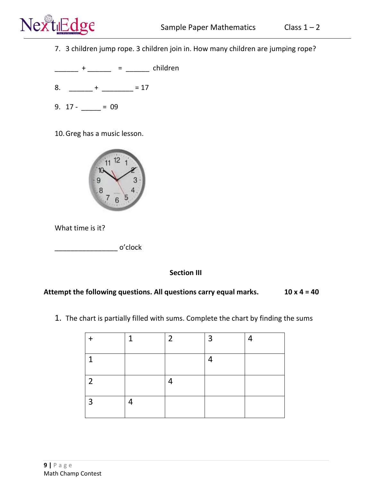

7. 3 children jump rope. 3 children join in. How many children are jumping rope?

 $\frac{1}{2}$  + \_\_\_\_\_\_ = \_\_\_\_\_\_ children

- 8. \_\_\_\_\_\_ + \_\_\_\_\_\_\_\_ = 17
- 9.  $17 29$

10.Greg has a music lesson.



What time is it?

\_\_\_\_\_\_\_\_\_\_\_\_\_\_\_\_ o'clock

### **Section III**

### Attempt the following questions. All questions carry equal marks. 10 x 4 = 40

- 
- 1. The chart is partially filled with sums. Complete the chart by finding the sums

|                | 1 | 2 | $\overline{3}$ | 4 |
|----------------|---|---|----------------|---|
| -1             |   |   | 4              |   |
| $\overline{2}$ |   |   |                |   |
| $\overline{3}$ | ⊣ |   |                |   |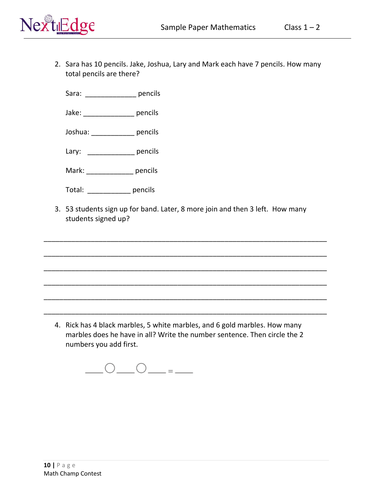

2. Sara has 10 pencils. Jake, Joshua, Lary and Mark each have 7 pencils. How many total pencils are there?

Sara: pencils

Jake: \_\_\_\_\_\_\_\_\_\_\_\_\_ pencils

Joshua: \_\_\_\_\_\_\_\_\_\_\_ pencils

Lary: pencils

Mark: \_\_\_\_\_\_\_\_\_\_\_\_ pencils

Total: \_\_\_\_\_\_\_\_\_\_\_ pencils

3. 53 students sign up for band. Later, 8 more join and then 3 left. How many students signed up?

\_\_\_\_\_\_\_\_\_\_\_\_\_\_\_\_\_\_\_\_\_\_\_\_\_\_\_\_\_\_\_\_\_\_\_\_\_\_\_\_\_\_\_\_\_\_\_\_\_\_\_\_\_\_\_\_\_\_\_\_\_\_\_\_\_\_\_\_\_\_\_\_

\_\_\_\_\_\_\_\_\_\_\_\_\_\_\_\_\_\_\_\_\_\_\_\_\_\_\_\_\_\_\_\_\_\_\_\_\_\_\_\_\_\_\_\_\_\_\_\_\_\_\_\_\_\_\_\_\_\_\_\_\_\_\_\_\_\_\_\_\_\_\_\_

\_\_\_\_\_\_\_\_\_\_\_\_\_\_\_\_\_\_\_\_\_\_\_\_\_\_\_\_\_\_\_\_\_\_\_\_\_\_\_\_\_\_\_\_\_\_\_\_\_\_\_\_\_\_\_\_\_\_\_\_\_\_\_\_\_\_\_\_\_\_\_\_

\_\_\_\_\_\_\_\_\_\_\_\_\_\_\_\_\_\_\_\_\_\_\_\_\_\_\_\_\_\_\_\_\_\_\_\_\_\_\_\_\_\_\_\_\_\_\_\_\_\_\_\_\_\_\_\_\_\_\_\_\_\_\_\_\_\_\_\_\_\_\_\_

\_\_\_\_\_\_\_\_\_\_\_\_\_\_\_\_\_\_\_\_\_\_\_\_\_\_\_\_\_\_\_\_\_\_\_\_\_\_\_\_\_\_\_\_\_\_\_\_\_\_\_\_\_\_\_\_\_\_\_\_\_\_\_\_\_\_\_\_\_\_\_\_

\_\_\_\_\_\_\_\_\_\_\_\_\_\_\_\_\_\_\_\_\_\_\_\_\_\_\_\_\_\_\_\_\_\_\_\_\_\_\_\_\_\_\_\_\_\_\_\_\_\_\_\_\_\_\_\_\_\_\_\_\_\_\_\_\_\_\_\_\_\_\_\_

4. Rick has 4 black marbles, 5 white marbles, and 6 gold marbles. How many marbles does he have in all? Write the number sentence. Then circle the 2 numbers you add first.

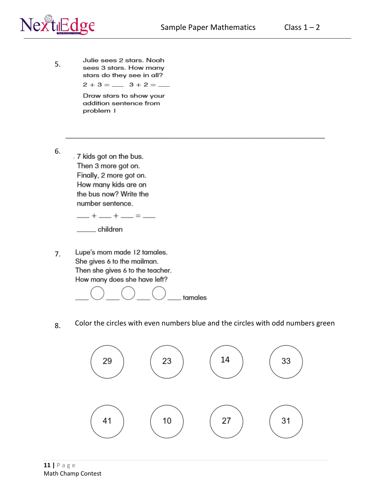\_\_\_\_\_\_\_\_\_\_\_\_\_\_\_\_\_\_\_\_\_\_\_\_\_\_\_\_\_\_\_\_\_\_\_\_\_\_\_\_\_\_\_\_\_\_\_\_\_\_\_\_\_\_\_\_\_\_\_\_\_\_\_\_\_\_\_\_\_\_\_\_\_\_\_\_\_\_



5.

Julie sees 2 stars. Noah sees 3 stars. How many stars do they see in all?  $2 + 3 =$   $\frac{3 + 2}{3} =$ 

> Draw stars to show your addition sentence from problem I

6. .7 kids got on the bus. Then 3 more got on. Finally, 2 more got on. How many kids are on the bus now? Write the number sentence.

> $-$  +  $-$  +  $-$  =  $-$ \_\_\_\_\_ children

Lupe's mom made 12 tamales. 7. She gives 6 to the mailman. Then she gives 6 to the teacher. How many does she have left?



8. Color the circles with even numbers blue and the circles with odd numbers green